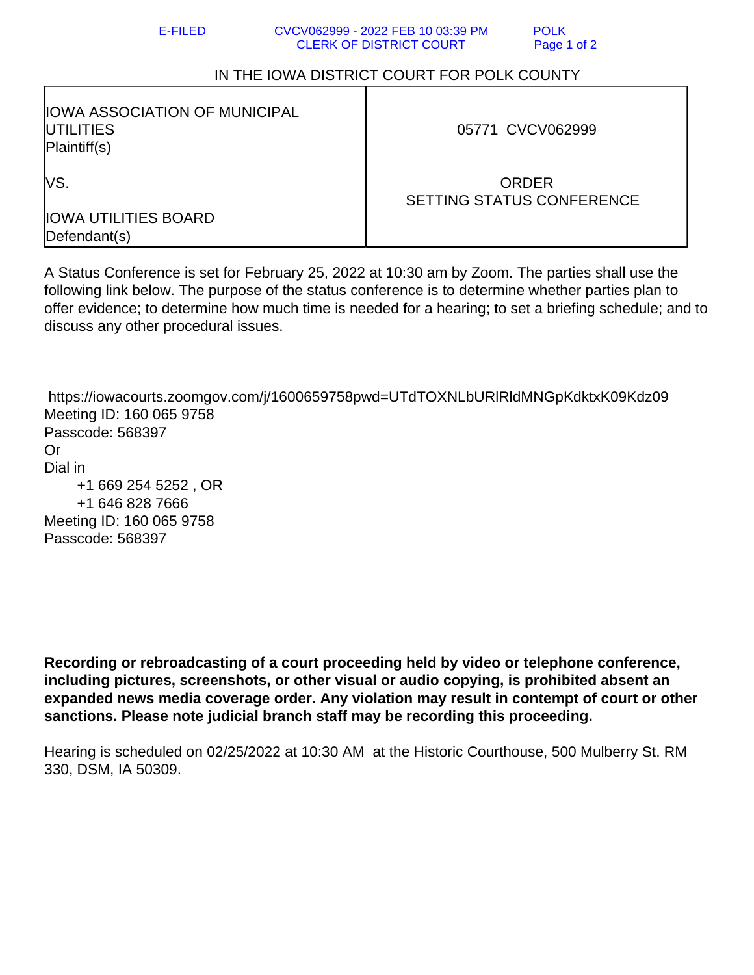## E-FILED CVCV062999 - 2022 FEB 10 03:39 PM POLK CLERK OF DISTRICT COURT Page 1 of 2

## IN THE IOWA DISTRICT COURT FOR POLK COUNTY

| IOWA ASSOCIATION OF MUNICIPAL<br><b>IUTILITIES</b><br>Plaintiff(s) | 05771 CVCV062999                                 |
|--------------------------------------------------------------------|--------------------------------------------------|
| lvs.                                                               | <b>ORDER</b><br><b>SETTING STATUS CONFERENCE</b> |
| <b>IOWA UTILITIES BOARD</b><br>Defendant(s)                        |                                                  |

A Status Conference is set for February 25, 2022 at 10:30 am by Zoom. The parties shall use the following link below. The purpose of the status conference is to determine whether parties plan to offer evidence; to determine how much time is needed for a hearing; to set a briefing schedule; and to discuss any other procedural issues.

 https://iowacourts.zoomgov.com/j/1600659758pwd=UTdTOXNLbURlRldMNGpKdktxK09Kdz09 Meeting ID: 160 065 9758 Passcode: 568397 Or Dial in +1 669 254 5252 , OR +1 646 828 7666 Meeting ID: 160 065 9758 Passcode: 568397

**Recording or rebroadcasting of a court proceeding held by video or telephone conference, including pictures, screenshots, or other visual or audio copying, is prohibited absent an expanded news media coverage order. Any violation may result in contempt of court or other sanctions. Please note judicial branch staff may be recording this proceeding.**

Hearing is scheduled on 02/25/2022 at 10:30 AM at the Historic Courthouse, 500 Mulberry St. RM 330, DSM, IA 50309.